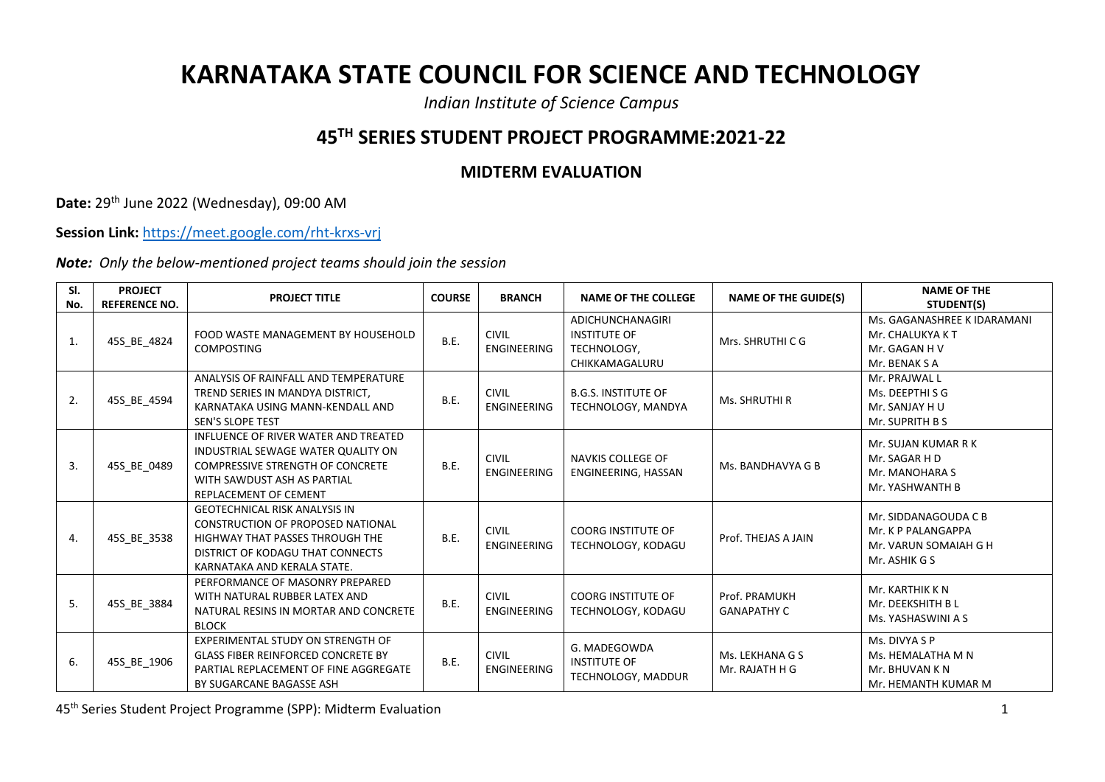## **KARNATAKA STATE COUNCIL FOR SCIENCE AND TECHNOLOGY**

*Indian Institute of Science Campus*

## **45TH SERIES STUDENT PROJECT PROGRAMME:2021-22**

## **MIDTERM EVALUATION**

**Date:** 29th June 2022 (Wednesday), 09:00 AM

**Session Link:** <https://meet.google.com/rht-krxs-vrj>

*Note: Only the below-mentioned project teams should join the session*

| SI. | <b>PROJECT</b>       | <b>PROJECT TITLE</b>                                                                                                                                                                 | <b>COURSE</b> | <b>BRANCH</b>                      | <b>NAME OF THE COLLEGE</b>                                               | <b>NAME OF THE GUIDE(S)</b>         | <b>NAME OF THE</b>                                                                   |
|-----|----------------------|--------------------------------------------------------------------------------------------------------------------------------------------------------------------------------------|---------------|------------------------------------|--------------------------------------------------------------------------|-------------------------------------|--------------------------------------------------------------------------------------|
| No. | <b>REFERENCE NO.</b> |                                                                                                                                                                                      |               |                                    |                                                                          |                                     | STUDENT(S)                                                                           |
| 1.  | 45S_BE_4824          | FOOD WASTE MANAGEMENT BY HOUSEHOLD<br><b>COMPOSTING</b>                                                                                                                              | B.E.          | <b>CIVIL</b><br><b>ENGINEERING</b> | ADICHUNCHANAGIRI<br><b>INSTITUTE OF</b><br>TECHNOLOGY.<br>CHIKKAMAGALURU | Mrs. SHRUTHI C G                    | Ms. GAGANASHREE K IDARAMANI<br>Mr. CHALUKYA K T<br>Mr. GAGAN H V<br>Mr. BENAK S A    |
| 2.  | 45S BE 4594          | ANALYSIS OF RAINFALL AND TEMPERATURE<br>TREND SERIES IN MANDYA DISTRICT,<br>KARNATAKA USING MANN-KENDALL AND<br><b>SEN'S SLOPE TEST</b>                                              | B.E.          | <b>CIVIL</b><br><b>ENGINEERING</b> | <b>B.G.S. INSTITUTE OF</b><br>TECHNOLOGY, MANDYA                         | Ms. SHRUTHI R                       | Mr. PRAJWAL L<br>Ms. DEEPTHISG<br>Mr. SANJAY H U<br>Mr. SUPRITH B S                  |
| 3.  | 45S BE 0489          | INFLUENCE OF RIVER WATER AND TREATED<br>INDUSTRIAL SEWAGE WATER QUALITY ON<br><b>COMPRESSIVE STRENGTH OF CONCRETE</b><br>WITH SAWDUST ASH AS PARTIAL<br><b>REPLACEMENT OF CEMENT</b> | <b>B.E.</b>   | <b>CIVIL</b><br><b>ENGINEERING</b> | NAVKIS COLLEGE OF<br>ENGINEERING, HASSAN                                 | Ms. BANDHAVYA G B                   | Mr. SUJAN KUMAR R K<br>Mr. SAGAR H D<br>Mr. MANOHARA S<br>Mr. YASHWANTH B            |
| 4.  | 45S BE 3538          | <b>GEOTECHNICAL RISK ANALYSIS IN</b><br>CONSTRUCTION OF PROPOSED NATIONAL<br>HIGHWAY THAT PASSES THROUGH THE<br>DISTRICT OF KODAGU THAT CONNECTS<br>KARNATAKA AND KERALA STATE.      | B.E.          | <b>CIVIL</b><br><b>ENGINEERING</b> | <b>COORG INSTITUTE OF</b><br>TECHNOLOGY, KODAGU                          | Prof. THEJAS A JAIN                 | Mr. SIDDANAGOUDA C B<br>Mr. K P PALANGAPPA<br>Mr. VARUN SOMAIAH G H<br>Mr. ASHIK G S |
| 5.  | 45S_BE_3884          | PERFORMANCE OF MASONRY PREPARED<br>WITH NATURAL RUBBER LATEX AND<br>NATURAL RESINS IN MORTAR AND CONCRETE<br><b>BLOCK</b>                                                            | B.E.          | <b>CIVIL</b><br><b>ENGINEERING</b> | <b>COORG INSTITUTE OF</b><br>TECHNOLOGY, KODAGU                          | Prof. PRAMUKH<br><b>GANAPATHY C</b> | Mr. KARTHIK K N<br>Mr. DEEKSHITH B L<br>Ms. YASHASWINI A S                           |
| 6.  | 45S_BE_1906          | EXPERIMENTAL STUDY ON STRENGTH OF<br><b>GLASS FIBER REINFORCED CONCRETE BY</b><br>PARTIAL REPLACEMENT OF FINE AGGREGATE<br>BY SUGARCANE BAGASSE ASH                                  | B.E.          | <b>CIVIL</b><br><b>ENGINEERING</b> | G. MADEGOWDA<br><b>INSTITUTE OF</b><br>TECHNOLOGY, MADDUR                | Ms. LEKHANA G S<br>Mr. RAJATH H G   | Ms. DIVYA S P<br>Ms. HEMALATHA M N<br>Mr. BHUVAN K N<br>Mr. HEMANTH KUMAR M          |

45th Series Student Project Programme (SPP): Midterm Evaluation 1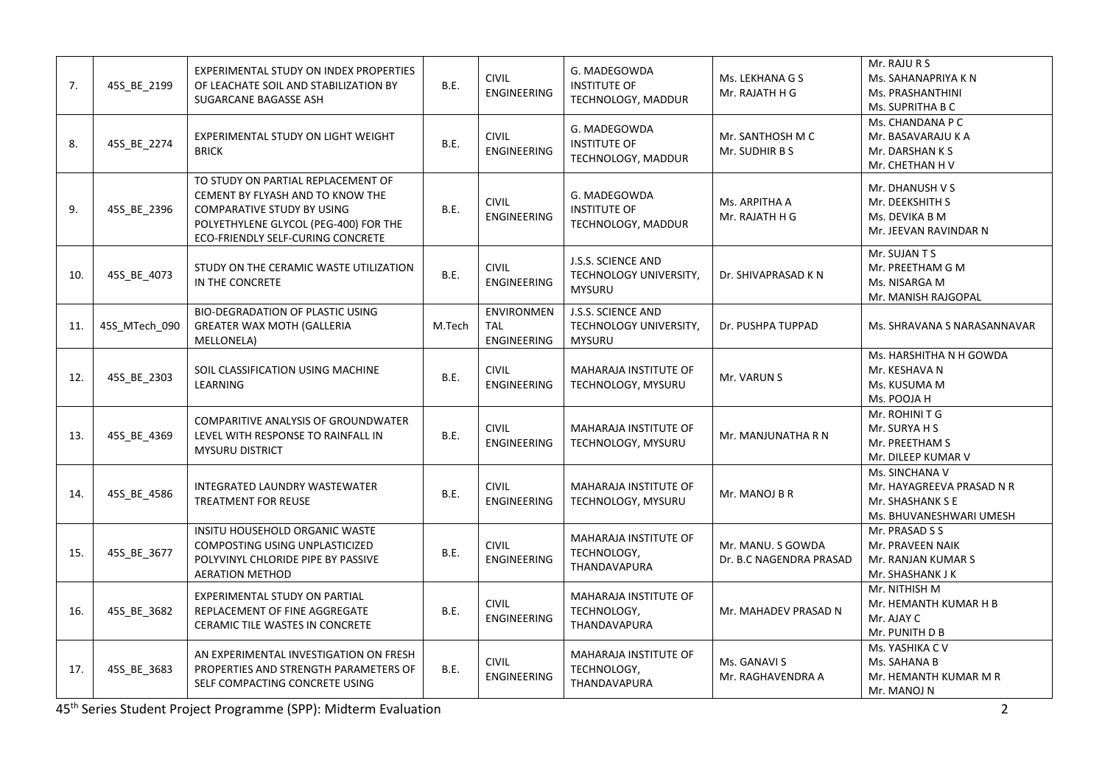| 7.  | 45S BE 2199   | EXPERIMENTAL STUDY ON INDEX PROPERTIES<br>OF LEACHATE SOIL AND STABILIZATION BY<br>SUGARCANE BAGASSE ASH                                                                                  | B.E.   | <b>CIVIL</b><br><b>ENGINEERING</b>                    | G. MADEGOWDA<br><b>INSTITUTE OF</b><br>TECHNOLOGY, MADDUR     | Ms. LEKHANA G S<br>Mr. RAJATH H G            | Mr. RAJU R S<br>Ms. SAHANAPRIYA K N<br>Ms. PRASHANTHINI<br>Ms. SUPRITHA B C                |
|-----|---------------|-------------------------------------------------------------------------------------------------------------------------------------------------------------------------------------------|--------|-------------------------------------------------------|---------------------------------------------------------------|----------------------------------------------|--------------------------------------------------------------------------------------------|
| 8.  | 45S_BE_2274   | EXPERIMENTAL STUDY ON LIGHT WEIGHT<br><b>BRICK</b>                                                                                                                                        | B.E.   | <b>CIVIL</b><br><b>ENGINEERING</b>                    | G. MADEGOWDA<br><b>INSTITUTE OF</b><br>TECHNOLOGY, MADDUR     | Mr. SANTHOSH M C<br>Mr. SUDHIR B S           | Ms. CHANDANA P C<br>Mr. BASAVARAJU K A<br>Mr. DARSHAN K S<br>Mr. CHETHAN H V               |
| 9.  | 45S BE 2396   | TO STUDY ON PARTIAL REPLACEMENT OF<br>CEMENT BY FLYASH AND TO KNOW THE<br><b>COMPARATIVE STUDY BY USING</b><br>POLYETHYLENE GLYCOL (PEG-400) FOR THE<br>ECO-FRIENDLY SELF-CURING CONCRETE | B.E.   | <b>CIVIL</b><br><b>ENGINEERING</b>                    | G. MADEGOWDA<br><b>INSTITUTE OF</b><br>TECHNOLOGY, MADDUR     | Ms. ARPITHA A<br>Mr. RAJATH H G              | Mr. DHANUSH V S<br>Mr. DEEKSHITH S<br>Ms. DEVIKA B M<br>Mr. JEEVAN RAVINDAR N              |
| 10. | 45S_BE_4073   | STUDY ON THE CERAMIC WASTE UTILIZATION<br>IN THE CONCRETE                                                                                                                                 | B.E.   | <b>CIVIL</b><br><b>ENGINEERING</b>                    | J.S.S. SCIENCE AND<br>TECHNOLOGY UNIVERSITY,<br><b>MYSURU</b> | Dr. SHIVAPRASAD K N                          | Mr. SUJAN T S<br>Mr. PREETHAM G M<br>Ms. NISARGA M<br>Mr. MANISH RAJGOPAL                  |
| 11. | 45S MTech 090 | <b>BIO-DEGRADATION OF PLASTIC USING</b><br><b>GREATER WAX MOTH (GALLERIA</b><br>MELLONELA)                                                                                                | M.Tech | <b>ENVIRONMEN</b><br><b>TAL</b><br><b>ENGINEERING</b> | J.S.S. SCIENCE AND<br>TECHNOLOGY UNIVERSITY,<br><b>MYSURU</b> | Dr. PUSHPA TUPPAD                            | Ms. SHRAVANA S NARASANNAVAR                                                                |
| 12. | 45S_BE_2303   | SOIL CLASSIFICATION USING MACHINE<br>LEARNING                                                                                                                                             | B.E.   | <b>CIVIL</b><br><b>ENGINEERING</b>                    | <b>MAHARAJA INSTITUTE OF</b><br>TECHNOLOGY, MYSURU            | Mr. VARUN S                                  | Ms. HARSHITHA N H GOWDA<br>Mr. KESHAVA N<br>Ms. KUSUMA M<br>Ms. POOJA H                    |
| 13. | 45S_BE_4369   | <b>COMPARITIVE ANALYSIS OF GROUNDWATER</b><br>LEVEL WITH RESPONSE TO RAINFALL IN<br><b>MYSURU DISTRICT</b>                                                                                | B.E.   | <b>CIVIL</b><br><b>ENGINEERING</b>                    | <b>MAHARAJA INSTITUTE OF</b><br>TECHNOLOGY, MYSURU            | Mr. MANJUNATHA R N                           | Mr. ROHINITG<br>Mr. SURYA H S<br>Mr. PREETHAM S<br>Mr. DILEEP KUMAR V                      |
| 14. | 45S_BE_4586   | <b>INTEGRATED LAUNDRY WASTEWATER</b><br><b>TREATMENT FOR REUSE</b>                                                                                                                        | B.E.   | <b>CIVIL</b><br><b>ENGINEERING</b>                    | MAHARAJA INSTITUTE OF<br>TECHNOLOGY, MYSURU                   | Mr. MANOJ B R                                | Ms. SINCHANA V<br>Mr. HAYAGREEVA PRASAD N R<br>Mr. SHASHANK S E<br>Ms. BHUVANESHWARI UMESH |
| 15. | 45S_BE_3677   | INSITU HOUSEHOLD ORGANIC WASTE<br>COMPOSTING USING UNPLASTICIZED<br>POLYVINYL CHLORIDE PIPE BY PASSIVE<br><b>AERATION METHOD</b>                                                          | B.E.   | <b>CIVIL</b><br>ENGINEERING                           | <b>MAHARAJA INSTITUTE OF</b><br>TECHNOLOGY,<br>THANDAVAPURA   | Mr. MANU. S GOWDA<br>Dr. B.C NAGENDRA PRASAD | Mr. PRASAD S S<br>Mr. PRAVEEN NAIK<br>Mr. RANJAN KUMAR S<br>Mr. SHASHANK J K               |
| 16. | 45S_BE_3682   | EXPERIMENTAL STUDY ON PARTIAL<br>REPLACEMENT OF FINE AGGREGATE<br>CERAMIC TILE WASTES IN CONCRETE                                                                                         | B.E.   | <b>CIVIL</b><br><b>ENGINEERING</b>                    | MAHARAJA INSTITUTE OF<br>TECHNOLOGY,<br>THANDAVAPURA          | Mr. MAHADEV PRASAD N                         | Mr. NITHISH M<br>Mr. HEMANTH KUMAR H B<br>Mr. AJAY C<br>Mr. PUNITH D B                     |
| 17. | 45S_BE_3683   | AN EXPERIMENTAL INVESTIGATION ON FRESH<br>PROPERTIES AND STRENGTH PARAMETERS OF<br>SELF COMPACTING CONCRETE USING                                                                         | B.E.   | <b>CIVIL</b><br><b>ENGINEERING</b>                    | MAHARAJA INSTITUTE OF<br>TECHNOLOGY,<br>THANDAVAPURA          | Ms. GANAVI S<br>Mr. RAGHAVENDRA A            | Ms. YASHIKA C V<br>Ms. SAHANA B<br>Mr. HEMANTH KUMAR M R<br>Mr. MANOJ N                    |

45th Series Student Project Programme (SPP): Midterm Evaluation 2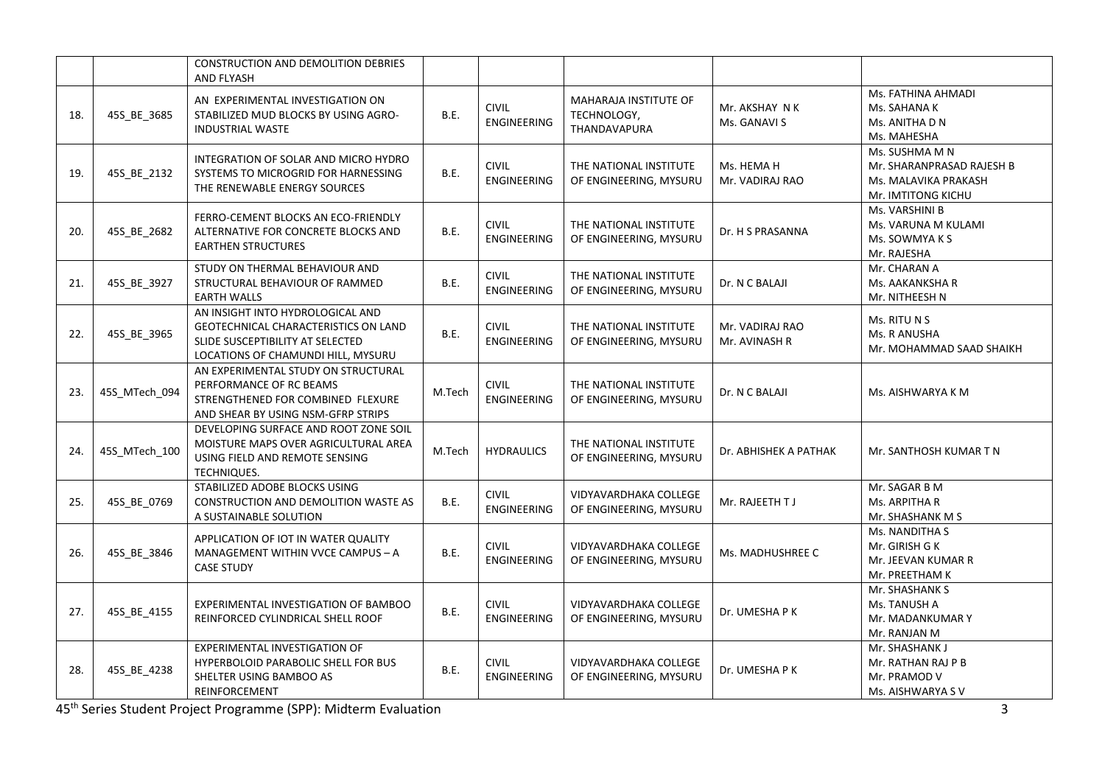|     |               | CONSTRUCTION AND DEMOLITION DEBRIES<br><b>AND FLYASH</b>                                                                                           |             |                                    |                                                      |                                  |                                                                                           |
|-----|---------------|----------------------------------------------------------------------------------------------------------------------------------------------------|-------------|------------------------------------|------------------------------------------------------|----------------------------------|-------------------------------------------------------------------------------------------|
| 18. | 45S_BE_3685   | AN EXPERIMENTAL INVESTIGATION ON<br>STABILIZED MUD BLOCKS BY USING AGRO-<br><b>INDUSTRIAL WASTE</b>                                                | B.E.        | <b>CIVIL</b><br><b>ENGINEERING</b> | MAHARAJA INSTITUTE OF<br>TECHNOLOGY,<br>THANDAVAPURA | Mr. AKSHAY N K<br>Ms. GANAVI S   | Ms. FATHINA AHMADI<br>Ms. SAHANA K<br>Ms. ANITHA D N<br>Ms. MAHESHA                       |
| 19. | 45S_BE_2132   | INTEGRATION OF SOLAR AND MICRO HYDRO<br>SYSTEMS TO MICROGRID FOR HARNESSING<br>THE RENEWABLE ENERGY SOURCES                                        | B.E.        | <b>CIVIL</b><br>ENGINEERING        | THE NATIONAL INSTITUTE<br>OF ENGINEERING, MYSURU     | Ms. HEMA H<br>Mr. VADIRAJ RAO    | Ms. SUSHMA M N<br>Mr. SHARANPRASAD RAJESH B<br>Ms. MALAVIKA PRAKASH<br>Mr. IMTITONG KICHU |
| 20. | 45S_BE_2682   | FERRO-CEMENT BLOCKS AN ECO-FRIENDLY<br>ALTERNATIVE FOR CONCRETE BLOCKS AND<br><b>EARTHEN STRUCTURES</b>                                            | B.E.        | <b>CIVIL</b><br>ENGINEERING        | THE NATIONAL INSTITUTE<br>OF ENGINEERING, MYSURU     | Dr. H S PRASANNA                 | Ms. VARSHINI B<br>Ms. VARUNA M KULAMI<br>Ms. SOWMYA K S<br>Mr. RAJESHA                    |
| 21. | 45S BE 3927   | STUDY ON THERMAL BEHAVIOUR AND<br>STRUCTURAL BEHAVIOUR OF RAMMED<br><b>EARTH WALLS</b>                                                             | B.E.        | <b>CIVIL</b><br>ENGINEERING        | THE NATIONAL INSTITUTE<br>OF ENGINEERING, MYSURU     | Dr. N C BALAJI                   | Mr. CHARAN A<br>Ms. AAKANKSHA R<br>Mr. NITHEESH N                                         |
| 22. | 45S_BE_3965   | AN INSIGHT INTO HYDROLOGICAL AND<br>GEOTECHNICAL CHARACTERISTICS ON LAND<br>SLIDE SUSCEPTIBILITY AT SELECTED<br>LOCATIONS OF CHAMUNDI HILL, MYSURU | <b>B.E.</b> | <b>CIVIL</b><br>ENGINEERING        | THE NATIONAL INSTITUTE<br>OF ENGINEERING, MYSURU     | Mr. VADIRAJ RAO<br>Mr. AVINASH R | Ms. RITU N S<br>Ms. R ANUSHA<br>Mr. MOHAMMAD SAAD SHAIKH                                  |
| 23. | 45S MTech 094 | AN EXPERIMENTAL STUDY ON STRUCTURAL<br>PERFORMANCE OF RC BEAMS<br>STRENGTHENED FOR COMBINED FLEXURE<br>AND SHEAR BY USING NSM-GFRP STRIPS          | M.Tech      | <b>CIVIL</b><br><b>ENGINEERING</b> | THE NATIONAL INSTITUTE<br>OF ENGINEERING, MYSURU     | Dr. N C BALAJI                   | Ms. AISHWARYA K M                                                                         |
| 24. | 45S MTech 100 | DEVELOPING SURFACE AND ROOT ZONE SOIL<br>MOISTURE MAPS OVER AGRICULTURAL AREA<br>USING FIELD AND REMOTE SENSING<br><b>TECHNIQUES.</b>              | M.Tech      | <b>HYDRAULICS</b>                  | THE NATIONAL INSTITUTE<br>OF ENGINEERING, MYSURU     | Dr. ABHISHEK A PATHAK            | Mr. SANTHOSH KUMAR T N                                                                    |
| 25. | 45S_BE_0769   | STABILIZED ADOBE BLOCKS USING<br>CONSTRUCTION AND DEMOLITION WASTE AS<br>A SUSTAINABLE SOLUTION                                                    | B.E.        | <b>CIVIL</b><br>ENGINEERING        | VIDYAVARDHAKA COLLEGE<br>OF ENGINEERING, MYSURU      | Mr. RAJEETH TJ                   | Mr. SAGAR B M<br>Ms. ARPITHA R<br>Mr. SHASHANK M S                                        |
| 26. | 45S BE 3846   | APPLICATION OF IOT IN WATER QUALITY<br>MANAGEMENT WITHIN VVCE CAMPUS - A<br><b>CASE STUDY</b>                                                      | B.E.        | <b>CIVIL</b><br>ENGINEERING        | VIDYAVARDHAKA COLLEGE<br>OF ENGINEERING, MYSURU      | Ms. MADHUSHREE C                 | Ms. NANDITHA S<br>Mr. GIRISH G K<br>Mr. JEEVAN KUMAR R<br>Mr. PREETHAM K                  |
| 27. | 45S_BE_4155   | EXPERIMENTAL INVESTIGATION OF BAMBOO<br>REINFORCED CYLINDRICAL SHELL ROOF                                                                          | B.E.        | <b>CIVIL</b><br>ENGINEERING        | VIDYAVARDHAKA COLLEGE<br>OF ENGINEERING, MYSURU      | Dr. UMESHAPK                     | Mr. SHASHANK S<br>Ms. TANUSH A<br>Mr. MADANKUMAR Y<br>Mr. RANJAN M                        |
| 28. | 45S_BE_4238   | EXPERIMENTAL INVESTIGATION OF<br>HYPERBOLOID PARABOLIC SHELL FOR BUS<br>SHELTER USING BAMBOO AS<br>REINFORCEMENT                                   | B.E.        | <b>CIVIL</b><br><b>ENGINEERING</b> | VIDYAVARDHAKA COLLEGE<br>OF ENGINEERING, MYSURU      | Dr. UMESHA P K                   | Mr. SHASHANK J<br>Mr. RATHAN RAJ P B<br>Mr. PRAMOD V<br>Ms. AISHWARYA SV                  |

45th Series Student Project Programme (SPP): Midterm Evaluation 3